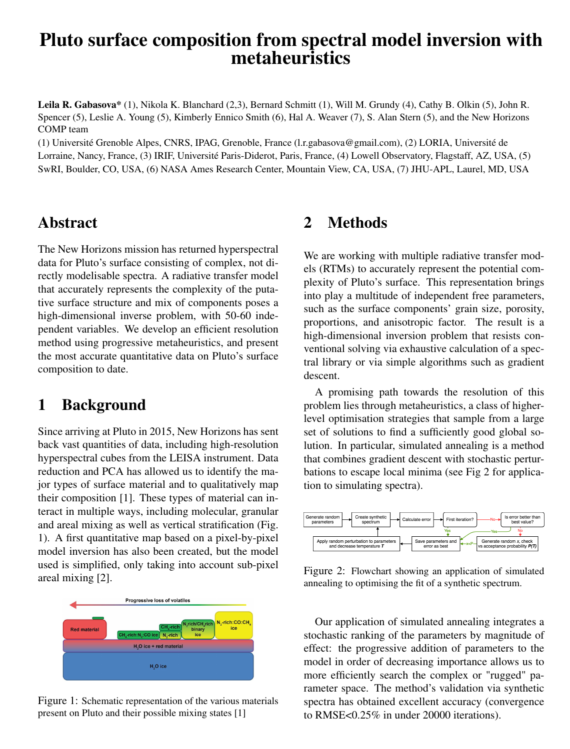# Pluto surface composition from spectral model inversion with metaheuristics

Leila R. Gabasova\* (1), Nikola K. Blanchard (2,3), Bernard Schmitt (1), Will M. Grundy (4), Cathy B. Olkin (5), John R. Spencer (5), Leslie A. Young (5), Kimberly Ennico Smith (6), Hal A. Weaver (7), S. Alan Stern (5), and the New Horizons COMP team

(1) Université Grenoble Alpes, CNRS, IPAG, Grenoble, France (l.r.gabasova@gmail.com), (2) LORIA, Université de Lorraine, Nancy, France, (3) IRIF, Université Paris-Diderot, Paris, France, (4) Lowell Observatory, Flagstaff, AZ, USA, (5) SwRI, Boulder, CO, USA, (6) NASA Ames Research Center, Mountain View, CA, USA, (7) JHU-APL, Laurel, MD, USA

#### Abstract

The New Horizons mission has returned hyperspectral data for Pluto's surface consisting of complex, not directly modelisable spectra. A radiative transfer model that accurately represents the complexity of the putative surface structure and mix of components poses a high-dimensional inverse problem, with 50-60 independent variables. We develop an efficient resolution method using progressive metaheuristics, and present the most accurate quantitative data on Pluto's surface composition to date.

#### 1 Background

Since arriving at Pluto in 2015, New Horizons has sent back vast quantities of data, including high-resolution hyperspectral cubes from the LEISA instrument. Data reduction and PCA has allowed us to identify the major types of surface material and to qualitatively map their composition [1]. These types of material can interact in multiple ways, including molecular, granular and areal mixing as well as vertical stratification (Fig. 1). A first quantitative map based on a pixel-by-pixel model inversion has also been created, but the model used is simplified, only taking into account sub-pixel areal mixing [2].



Figure 1: Schematic representation of the various materials present on Pluto and their possible mixing states [1]

### 2 Methods

We are working with multiple radiative transfer models (RTMs) to accurately represent the potential complexity of Pluto's surface. This representation brings into play a multitude of independent free parameters, such as the surface components' grain size, porosity, proportions, and anisotropic factor. The result is a high-dimensional inversion problem that resists conventional solving via exhaustive calculation of a spectral library or via simple algorithms such as gradient descent.

A promising path towards the resolution of this problem lies through metaheuristics, a class of higherlevel optimisation strategies that sample from a large set of solutions to find a sufficiently good global solution. In particular, simulated annealing is a method that combines gradient descent with stochastic perturbations to escape local minima (see Fig 2 for application to simulating spectra).



Figure 2: Flowchart showing an application of simulated annealing to optimising the fit of a synthetic spectrum.

Our application of simulated annealing integrates a stochastic ranking of the parameters by magnitude of effect: the progressive addition of parameters to the model in order of decreasing importance allows us to more efficiently search the complex or "rugged" parameter space. The method's validation via synthetic spectra has obtained excellent accuracy (convergence to RMSE<0.25% in under 20000 iterations).